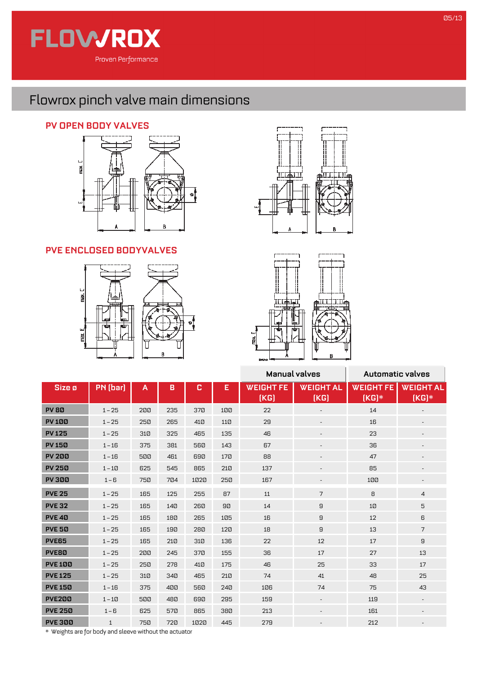

## Flowrox pinch valve main dimensions

## **PV OPEN BODY VALVES**



## **PVE ENCLOSED BODYVALVES**







|                   |              |     |     |      |     | Manual valves            |                          | <b>Automatic valves</b>     |                             |
|-------------------|--------------|-----|-----|------|-----|--------------------------|--------------------------|-----------------------------|-----------------------------|
| Size ø            | PN (bar)     | A   | B   | c    | E   | <b>WEIGHT FE</b><br>[KG] | <b>WEIGHT AL</b><br>(KG) | <b>WEIGHT FE</b><br>$[KG]*$ | <b>WEIGHT AL</b><br>$(KG)*$ |
| <b>PV80</b>       | $1 - 25$     | 200 | 235 | 370  | 100 | 22                       | $\overline{\phantom{a}}$ | 14                          |                             |
| <b>PV100</b>      | $1 - 25$     | 250 | 265 | 410  | 110 | 29                       |                          | 16                          |                             |
| <b>PV125</b>      | $1 - 25$     | 310 | 325 | 465  | 135 | 46                       | $\sim$                   | 23                          | $\overline{\phantom{a}}$    |
| <b>PV150</b>      | $1 - 16$     | 375 | 381 | 560  | 143 | 67                       | $\overline{\phantom{a}}$ | 36                          |                             |
| <b>PV 200</b>     | $1 - 16$     | 500 | 461 | 690  | 170 | 88                       | $\sim$                   | 47                          |                             |
| <b>PV 250</b>     | $1-10$       | 625 | 545 | 865  | 210 | 137                      | $\overline{\phantom{a}}$ | 85                          |                             |
| <b>PV 300</b>     | $1 - 6$      | 750 | 704 | 1020 | 250 | 167                      | $\overline{\phantom{a}}$ | 100                         |                             |
| <b>PVE 25</b>     | $1 - 25$     | 165 | 125 | 255  | 87  | 11                       | $\overline{7}$           | 8                           | $\overline{4}$              |
| <b>PVE 32</b>     | $1 - 25$     | 165 | 140 | 260  | 90  | 14                       | 9                        | 10                          | 5                           |
| PVE <sub>40</sub> | $1 - 25$     | 165 | 180 | 265  | 105 | 16                       | 9                        | 12                          | 6                           |
| <b>PVE 50</b>     | $1 - 25$     | 165 | 190 | 280  | 120 | 18                       | 9                        | 13                          | $\overline{7}$              |
| <b>PVE65</b>      | $1 - 25$     | 165 | 210 | 310  | 136 | 22                       | 12                       | 17                          | 9                           |
| PVE80             | $1 - 25$     | 200 | 245 | 370  | 155 | 36                       | 17                       | 27                          | 13                          |
| <b>PVE 100</b>    | $1 - 25$     | 250 | 278 | 410  | 175 | 46                       | 25                       | 33                          | 17                          |
| <b>PVE 125</b>    | $1 - 25$     | 310 | 340 | 465  | 210 | 74                       | 41                       | 48                          | 25                          |
| <b>PVE 150</b>    | $1 - 16$     | 375 | 400 | 560  | 240 | 106                      | 74                       | 75                          | 43                          |
| <b>PVE200</b>     | $1-10$       | 500 | 480 | 690  | 295 | 159                      | $\sim$                   | 119                         |                             |
| <b>PVE 250</b>    | $1 - 6$      | 625 | 570 | 865  | 380 | 213                      | $\sim$                   | 161                         | $\overline{\phantom{a}}$    |
| <b>PVE 300</b>    | $\mathbf{1}$ | 750 | 720 | 1020 | 445 | 279                      |                          | 212                         |                             |

\* Weights are for body and sleeve without the actuator

h